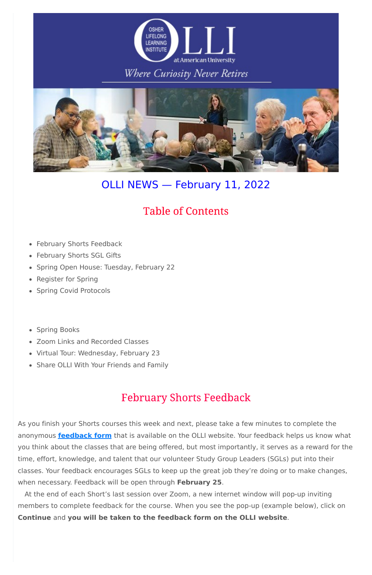

### **Where Curiosity Never Retires**



# OLLI NEWS — February 11, 2022

### **Table of Contents**

- February Shorts Feedback
- February Shorts SGL Gifts
- Spring Open House: Tuesday, February 22
- Register for Spring
- Spring Covid Protocols
- Spring Books
- Zoom Links and Recorded Classes
- Virtual Tour: Wednesday, February 23
- Share OLLI With Your Friends and Family

# **February Shorts Feedback**

As you finish your Shorts courses this week and next, please take a few minutes to complete the anonymous **[feedback](https://olli-dc.org/shorts_feedback) form** that is available on the OLLI website. Your feedback helps us know what you think about the classes that are being offered, but most importantly, it serves as a reward for the time, effort, knowledge, and talent that our volunteer Study Group Leaders (SGLs) put into their classes. Your feedback encourages SGLs to keep up the great job they're doing or to make changes, when necessary. Feedback will be open through **February 25**.

At the end of each Short's last session over Zoom, a new internet window will pop-up inviting members to complete feedback for the course. When you see the pop-up (example below), click on **Continue** and **you will be taken to the feedback form on the OLLI website**.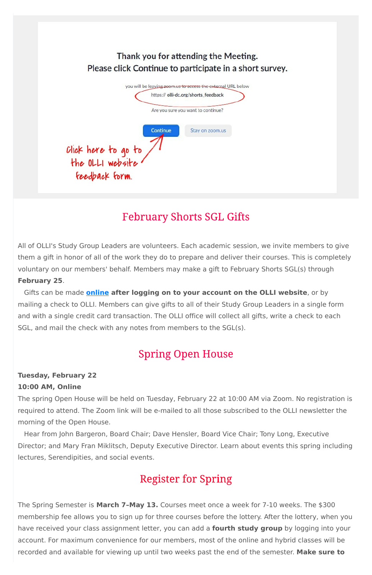|                                         | Thank you for attending the Meeting.<br>Please click Continue to participate in a short survey. |
|-----------------------------------------|-------------------------------------------------------------------------------------------------|
|                                         | you will be leaving zoom.us to access the external URL below                                    |
|                                         | https:// olli-dc.org/shorts_feedback                                                            |
|                                         | Are you sure you want to continue?                                                              |
|                                         | Continue<br>Stay on zoom.us                                                                     |
|                                         |                                                                                                 |
| Click here to go to<br>the OLLI website |                                                                                                 |
|                                         |                                                                                                 |
| feedback form.                          |                                                                                                 |

# **February Shorts SGL Gifts**

All of OLLI's Study Group Leaders are volunteers. Each academic session, we invite members to give them a gift in honor of all of the work they do to prepare and deliver their courses. This is completely voluntary on our members' behalf. Members may make a gift to February Shorts SGL(s) through **February 25**.

Gifts can be made **[online](https://olli-dc.org/sgl_gifts) after logging on to your account on the OLLI website**, or by mailing a check to OLLI. Members can give gifts to all of their Study Group Leaders in a single form and with a single credit card transaction. The OLLI office will collect all gifts, write a check to each SGL, and mail the check with any notes from members to the SGL(s).

# **Spring Open House**

### **Tuesday, February 22 10:00 AM, Online**

The spring Open House will be held on Tuesday, February 22 at 10:00 AM via Zoom. No registration is required to attend. The Zoom link will be e-mailed to all those subscribed to the OLLI newsletter the morning of the Open House.

Hear from John Bargeron, Board Chair; Dave Hensler, Board Vice Chair; Tony Long, Executive Director; and Mary Fran Miklitsch, Deputy Executive Director. Learn about events this spring including lectures, Serendipities, and social events.

# **Register for Spring**

The Spring Semester is **March 7–May 13.** Courses meet once a week for 7-10 weeks. The \$300 membership fee allows you to sign up for three courses before the lottery. After the lottery, when you have received your class assignment letter, you can add a **fourth study group** by logging into your account. For maximum convenience for our members, most of the online and hybrid classes will be recorded and available for viewing up until two weeks past the end of the semester. **Make sure to**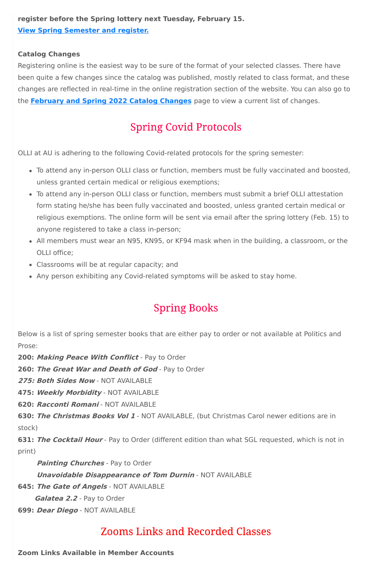### **register before the Spring lottery next Tuesday, February 15. View Spring [Semester](https://www.olli-dc.org/view_all_study_groups) and register.**

#### **Catalog Changes**

Registering online is the easiest way to be sure of the format of your selected classes. There have been quite a few changes since the catalog was published, mostly related to class format, and these changes are reflected in real-time in the online registration section of the website. You can also go to the **[February](https://www.olli-dc.org/feb_spring_catalog_changes) and Spring 2022 Catalog Changes** page to view a current list of changes.

# **Spring Covid Protocols**

OLLI at AU is adhering to the following Covid-related protocols for the spring semester:

- To attend any in-person OLLI class or function, members must be fully vaccinated and boosted, unless granted certain medical or religious exemptions;
- To attend any in-person OLLI class or function, members must submit a brief OLLI attestation form stating he/she has been fully vaccinated and boosted, unless granted certain medical or religious exemptions. The online form will be sent via email after the spring lottery (Feb. 15) to anyone registered to take a class in-person;
- All members must wear an N95, KN95, or KF94 mask when in the building, a classroom, or the OLLI office;
- Classrooms will be at regular capacity; and
- Any person exhibiting any Covid-related symptoms will be asked to stay home.

# **Spring Books**

Below is a list of spring semester books that are either pay to order or not available at Politics and Prose:

**200: Making Peace With Conflict** - Pay to Order

**260: The Great War and Death of God** - Pay to Order

**275: Both Sides Now** - NOT AVAILABLE

**475: Weekly Morbidity** - NOT AVAILABLE

**620: Racconti Romani** - NOT AVAILABLE

**630: The Christmas Books Vol 1** - NOT AVAILABLE, (but Christmas Carol newer editions are in

stock)

**631: The Cocktail Hour** - Pay to Order (different edition than what SGL requested, which is not in print)

**Painting Churches** - Pay to Order

**Unavoidable Disappearance of Tom Durnin** - NOT AVAILABLE

**645: The Gate of Angels** - NOT AVAILABLE

**Galatea 2.2** - Pay to Order

**699: Dear Diego** - NOT AVAILABLE

### **Zooms Links and Recorded Classes**

**Zoom Links Available in Member Accounts**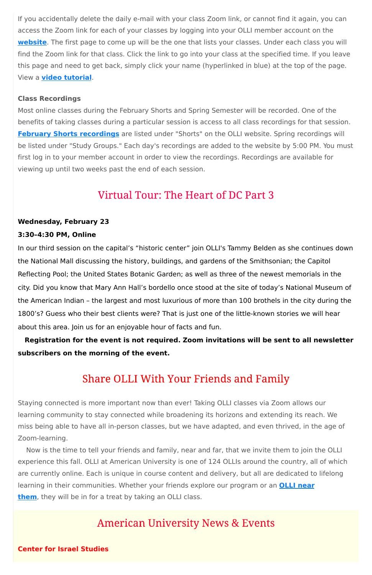If you accidentally delete the daily e-mail with your class Zoom link, or cannot find it again, you can access the Zoom link for each of your classes by logging into your OLLI member account on the **[website](https://www.olli-dc.org/)**. The first page to come up will be the one that lists your classes. Under each class you will find the Zoom link for that class. Click the link to go into your class at the specified time. If you leave this page and need to get back, simply click your name (hyperlinked in blue) at the top of the page. View a **video [tutorial](https://vimeo.com/666099470)**.

#### **Class Recordings**

Most online classes during the February Shorts and Spring Semester will be recorded. One of the benefits of taking classes during a particular session is access to all class recordings for that session. **February Shorts [recordings](https://www.olli-dc.org/2022_february_shorts_recordings)** are listed under "Shorts" on the OLLI website. Spring recordings will be listed under "Study Groups." Each day's recordings are added to the website by 5:00 PM. You must first log in to your member account in order to view the recordings. Recordings are available for viewing up until two weeks past the end of each session.

### Virtual Tour: The Heart of DC Part 3

#### **Wednesday, February 23**

#### **3:30–4:30 PM, Online**

In our third session on the capital's "historic center" join OLLI's Tammy Belden as she continues down the National Mall discussing the history, buildings, and gardens of the Smithsonian; the Capitol Reflecting Pool; the United States Botanic Garden; as well as three of the newest memorials in the city. Did you know that Mary Ann Hall's bordello once stood at the site of today's National Museum of the American Indian – the largest and most luxurious of more than 100 brothels in the city during the 1800's? Guess who their best clients were? That is just one of the little-known stories we will hear about this area. Join us for an enjoyable hour of facts and fun.

**Registration for the event is not required. Zoom invitations will be sent to all newsletter subscribers on the morning of the event.**

### **Share OLLI With Your Friends and Family**

Staying connected is more important now than ever! Taking OLLI classes via Zoom allows our learning community to stay connected while broadening its horizons and extending its reach. We

miss being able to have all in-person classes, but we have adapted, and even thrived, in the age of Zoom-learning.

Now is the time to tell your friends and family, near and far, that we invite them to join the OLLI experience this fall. OLLI at American University is one of 124 OLLIs around the country, all of which are currently online. Each is unique in course content and delivery, but all are dedicated to lifelong learning in their [communities.](https://sps.northwestern.edu/oshernrc/files_nrc/lli_directory_2019.pdf) Whether your friends explore our program or an **OLLI near them**, they will be in for a treat by taking an OLLI class.

### **American University News & Events**

**Center for Israel Studies**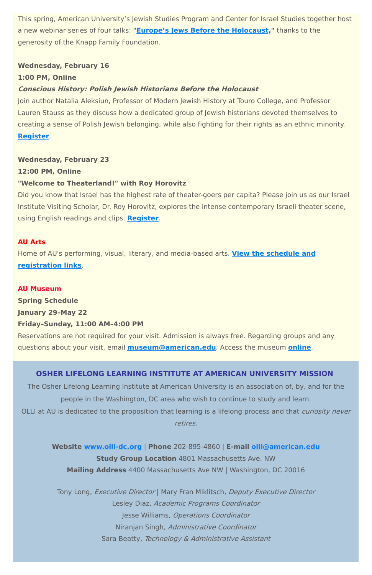This spring, American University's Jewish Studies Program and Center for Israel Studies together host a new webinar series of four talks: **"Europe's Jews Before the [Holocaust,](https://www.american.edu/cas/israelstudies/europes-jews-before-the-holocaust.cfm)"** thanks to the generosity of the Knapp Family Foundation.

#### **Wednesday, February 16**

#### **1:00 PM, Online**

#### **Conscious History: Polish Jewish Historians Before the Holocaust**

Join author Natalia Aleksiun, Professor of Modern Jewish History at Touro College, and Professor Lauren Stauss as they discuss how a dedicated group of Jewish historians devoted themselves to creating a sense of Polish Jewish belonging, while also fighting for their rights as an ethnic minority. **[Register](https://www.eventbrite.com/e/europes-jews-before-the-holocaust-natalia-aleksiun-february-16-tickets-244084552467)**.

#### **Wednesday, February 23**

**12:00 PM, Online**

#### **"Welcome to Theaterland!" with Roy Horovitz**

The Osher Lifelong Learning Institute at American University is an association of, by, and for the people in the Washington, DC area who wish to continue to study and learn. OLLI at AU is dedicated to the proposition that learning is a lifelong process and that *curiosity never* 

Did you know that Israel has the highest rate of theater-goers per capita? Please join us as our Israel Institute Visiting Scholar, Dr. Roy Horovitz, explores the intense contemporary Israeli theater scene, using English readings and clips. **[Register](https://www.eventbrite.com/e/welcome-to-theaterland-with-israeli-actordirector-roy-horovitz-tickets-262292061617)**.

#### **AU Arts**

Home of AU's performing, visual, literary, and media-based arts. **View the schedule and [registration](https://www.american.edu/arts/) links**.

#### **AU Museum**

**Spring Schedule**

**January 29–May 22**

#### **Friday–Sunday, 11:00 AM–4:00 PM**

Reservations are not required for your visit. Admission is always free. Regarding groups and any questions about your visit, email **[museum@american.edu](mailto:museum@american.edu)**. Access the museum **[online](https://www.american.edu/cas/museum/reopening.cfm)**.

#### **OSHER LIFELONG LEARNING INSTITUTE AT AMERICAN UNIVERSITY MISSION**

retires.

**Website [www.olli-dc.org](http://www.olli-dc.org/)** | **Phone** 202-895-4860 | **E-mail [olli@american.edu](mailto:olli@american.edu) Study Group Location** 4801 Massachusetts Ave. NW **Mailing Address** 4400 Massachusetts Ave NW | Washington, DC 20016

Tony Long, Executive Director | Mary Fran Miklitsch, Deputy Executive Director Lesley Diaz, Academic Programs Coordinator Jesse Williams, Operations Coordinator Niranjan Singh, Administrative Coordinator Sara Beatty, Technology & Administrative Assistant